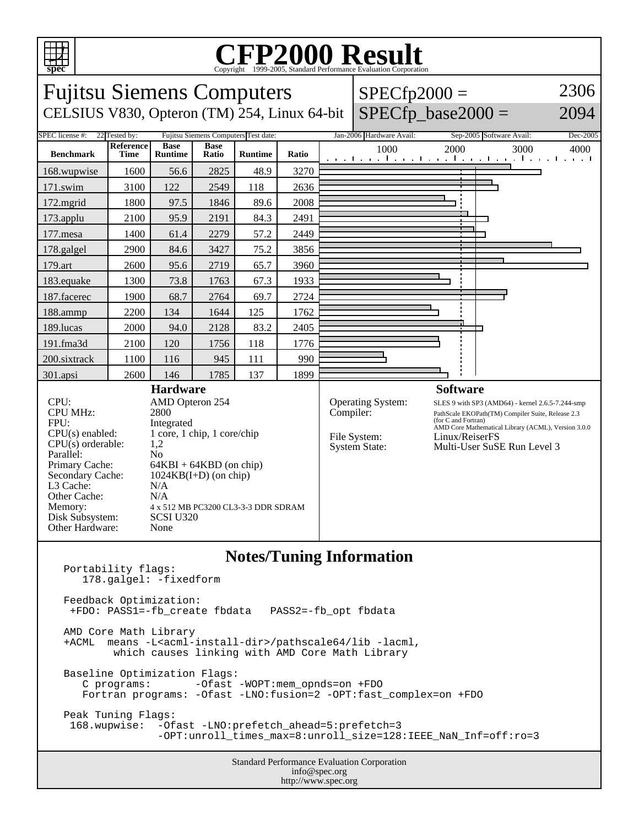

## C<sub>opyright</sub> ©1999-2005, Standard Performance Evaluation Corporation

| <b>Fujitsu Siemens Computers</b>                                                                                                                                                                                                                                                                                                                                                                                                                                                                 |                   |                               |                      |                |       | $SPECfp2000 =$       |                                                                  | 2306                                                                                                                                                                                                                                                    |              |  |
|--------------------------------------------------------------------------------------------------------------------------------------------------------------------------------------------------------------------------------------------------------------------------------------------------------------------------------------------------------------------------------------------------------------------------------------------------------------------------------------------------|-------------------|-------------------------------|----------------------|----------------|-------|----------------------|------------------------------------------------------------------|---------------------------------------------------------------------------------------------------------------------------------------------------------------------------------------------------------------------------------------------------------|--------------|--|
| CELSIUS V830, Opteron (TM) 254, Linux 64-bit                                                                                                                                                                                                                                                                                                                                                                                                                                                     |                   |                               |                      |                |       | $SPECfp\_base2000 =$ | 2094                                                             |                                                                                                                                                                                                                                                         |              |  |
| <b>SPEC</b> license #:<br>22 Tested by:<br>Fujitsu Siemens Computers Test date:<br>Jan-2006 Hardware Avail:<br>Sep-2005 Software Avail:<br>Dec-2005                                                                                                                                                                                                                                                                                                                                              |                   |                               |                      |                |       |                      |                                                                  |                                                                                                                                                                                                                                                         |              |  |
| <b>Benchmark</b>                                                                                                                                                                                                                                                                                                                                                                                                                                                                                 | Reference<br>Time | <b>Base</b><br><b>Runtime</b> | <b>Base</b><br>Ratio | <b>Runtime</b> | Ratio |                      | 1000                                                             | 2000<br>المتوجبا وتوجا وتوجا وتوجا وتوجا وتوجا وتوجا وتو                                                                                                                                                                                                | 3000<br>4000 |  |
| 168.wupwise                                                                                                                                                                                                                                                                                                                                                                                                                                                                                      | 1600              | 56.6                          | 2825                 | 48.9           | 3270  |                      |                                                                  |                                                                                                                                                                                                                                                         |              |  |
| 171.swim                                                                                                                                                                                                                                                                                                                                                                                                                                                                                         | 3100              | 122                           | 2549                 | 118            | 2636  |                      |                                                                  |                                                                                                                                                                                                                                                         |              |  |
| 172.mgrid                                                                                                                                                                                                                                                                                                                                                                                                                                                                                        | 1800              | 97.5                          | 1846                 | 89.6           | 2008  |                      |                                                                  |                                                                                                                                                                                                                                                         |              |  |
| $173$ .applu                                                                                                                                                                                                                                                                                                                                                                                                                                                                                     | 2100              | 95.9                          | 2191                 | 84.3           | 2491  |                      |                                                                  |                                                                                                                                                                                                                                                         |              |  |
| 177.mesa                                                                                                                                                                                                                                                                                                                                                                                                                                                                                         | 1400              | 61.4                          | 2279                 | 57.2           | 2449  |                      |                                                                  |                                                                                                                                                                                                                                                         |              |  |
| 178.galgel                                                                                                                                                                                                                                                                                                                                                                                                                                                                                       | 2900              | 84.6                          | 3427                 | 75.2           | 3856  |                      |                                                                  |                                                                                                                                                                                                                                                         |              |  |
| 179.art                                                                                                                                                                                                                                                                                                                                                                                                                                                                                          | 2600              | 95.6                          | 2719                 | 65.7           | 3960  |                      |                                                                  |                                                                                                                                                                                                                                                         |              |  |
| 183.equake                                                                                                                                                                                                                                                                                                                                                                                                                                                                                       | 1300              | 73.8                          | 1763                 | 67.3           | 1933  |                      |                                                                  |                                                                                                                                                                                                                                                         |              |  |
| 187.facerec                                                                                                                                                                                                                                                                                                                                                                                                                                                                                      | 1900              | 68.7                          | 2764                 | 69.7           | 2724  |                      |                                                                  |                                                                                                                                                                                                                                                         |              |  |
| 188.ammp                                                                                                                                                                                                                                                                                                                                                                                                                                                                                         | 2200              | 134                           | 1644                 | 125            | 1762  |                      |                                                                  |                                                                                                                                                                                                                                                         |              |  |
| 189.lucas                                                                                                                                                                                                                                                                                                                                                                                                                                                                                        | 2000              | 94.0                          | 2128                 | 83.2           | 2405  |                      |                                                                  |                                                                                                                                                                                                                                                         |              |  |
| 191.fma3d                                                                                                                                                                                                                                                                                                                                                                                                                                                                                        | 2100              | 120                           | 1756                 | 118            | 1776  |                      |                                                                  |                                                                                                                                                                                                                                                         |              |  |
| 200.sixtrack                                                                                                                                                                                                                                                                                                                                                                                                                                                                                     | 1100              | 116                           | 945                  | 111            | 990   |                      |                                                                  |                                                                                                                                                                                                                                                         |              |  |
| 301.apsi                                                                                                                                                                                                                                                                                                                                                                                                                                                                                         | 2600              | 146                           | 1785                 | 137            | 1899  |                      |                                                                  |                                                                                                                                                                                                                                                         |              |  |
| <b>Hardware</b><br>CPU:<br>AMD Opteron 254<br><b>CPU MHz:</b><br>2800<br>FPU:<br>Integrated<br>$CPU(s)$ enabled:<br>1 core, 1 chip, 1 core/chip<br>$CPU(s)$ orderable:<br>1,2<br>Parallel:<br>N <sub>0</sub><br>Primary Cache:<br>$64KBI + 64KBD$ (on chip)<br>Secondary Cache:<br>$1024KB(I+D)$ (on chip)<br>L3 Cache:<br>N/A<br>Other Cache:<br>N/A<br>Memory:<br>4 x 512 MB PC3200 CL3-3-3 DDR SDRAM<br>Disk Subsystem:<br><b>SCSI U320</b><br>Other Hardware:<br>None                        |                   |                               |                      |                |       | Compiler:            | <b>Operating System:</b><br>File System:<br><b>System State:</b> | <b>Software</b><br>SLES 9 with SP3 (AMD64) - kernel 2.6.5-7.244-smp<br>PathScale EKOPath(TM) Compiler Suite, Release 2.3<br>(for C and Fortran)<br>AMD Core Mathematical Library (ACML), Version 3.0.0<br>Linux/ReiserFS<br>Multi-User SuSE Run Level 3 |              |  |
| <b>Notes/Tuning Information</b><br>Portability flags:<br>178.galgel: -fixedform<br>Feedback Optimization:<br>+FDO: PASS1 = - fb_create fbdata<br>PASS2=-fb_opt fbdata<br>AMD Core Math Library<br>+ACML means -L <acml-install-dir>/pathscale64/lib -lacml,<br/>which causes linking with AMD Core Math Library<br/>Baseline Optimization Flags:<br/>C programs:<br/>-Ofast -WOPT:mem_opnds=on +FDO<br/>Fortran programs: - Ofast - LNO: fusion=2 - OPT: fast_complex=on +FDO</acml-install-dir> |                   |                               |                      |                |       |                      |                                                                  |                                                                                                                                                                                                                                                         |              |  |

Peak Tuning Flags: 168.wupwise: -Ofast -LNO:prefetch\_ahead=5:prefetch=3 -OPT:unroll\_times\_max=8:unroll\_size=128:IEEE\_NaN\_Inf=off:ro=3

> Standard Performance Evaluation Corporation info@spec.org http://www.spec.org